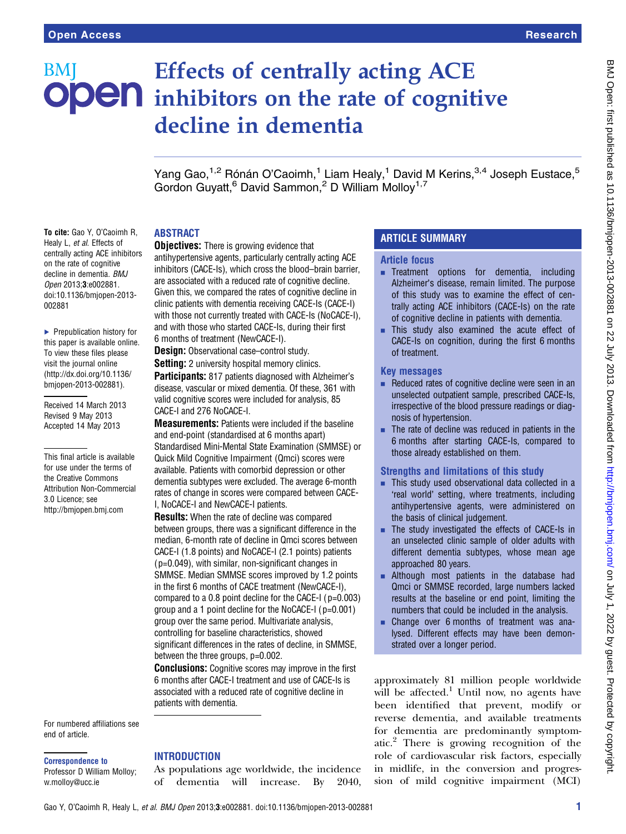To cite: Gao Y, O'Caoimh R, Healy L, et al. Effects of centrally acting ACE inhibitors on the rate of cognitive decline in dementia. BMJ Open 2013;3:e002881. doi:10.1136/bmjopen-2013-

▶ Prepublication history for this paper is available online. To view these files please visit the journal online [\(http://dx.doi.org/10.1136/](http://dx.doi.org/10.1136/bmjopen-2013-002881) [bmjopen-2013-002881](http://dx.doi.org/10.1136/bmjopen-2013-002881)). Received 14 March 2013 Revised 9 May 2013 Accepted 14 May 2013

This final article is available for use under the terms of the Creative Commons Attribution Non-Commercial

3.0 Licence; see <http://bmjopen.bmj.com>

002881

# Effects of centrally acting ACE BMI **ODEN** inhibitors on the rate of cognitive decline in dementia

Yang Gao,<sup>1,2</sup> Rónán O'Caoimh,<sup>1</sup> Liam Healy,<sup>1</sup> David M Kerins,<sup>3,4</sup> Joseph Eustace,<sup>5</sup> Gordon Guyatt.<sup>6</sup> David Sammon.<sup>2</sup> D William Molloy<sup>1,7</sup>

# **ABSTRACT**

**Objectives:** There is growing evidence that

antihypertensive agents, particularly centrally acting ACE inhibitors (CACE-Is), which cross the blood–brain barrier, are associated with a reduced rate of cognitive decline. Given this, we compared the rates of cognitive decline in clinic patients with dementia receiving CACE-Is (CACE-I) with those not currently treated with CACE-Is (NoCACE-I), and with those who started CACE-Is, during their first 6 months of treatment (NewCACE-I).

Design: Observational case–control study.

**Setting:** 2 university hospital memory clinics. Participants: 817 patients diagnosed with Alzheimer's

disease, vascular or mixed dementia. Of these, 361 with valid cognitive scores were included for analysis, 85 CACE-I and 276 NoCACE-I.

Measurements: Patients were included if the baseline and end-point (standardised at 6 months apart) Standardised Mini-Mental State Examination (SMMSE) or Quick Mild Cognitive Impairment (Qmci) scores were available. Patients with comorbid depression or other dementia subtypes were excluded. The average 6-month rates of change in scores were compared between CACE-I, NoCACE-I and NewCACE-I patients.

Results: When the rate of decline was compared between groups, there was a significant difference in the median, 6-month rate of decline in Qmci scores between CACE-I (1.8 points) and NoCACE-I (2.1 points) patients (p=0.049), with similar, non-significant changes in SMMSE. Median SMMSE scores improved by 1.2 points in the first 6 months of CACE treatment (NewCACE-I), compared to a 0.8 point decline for the CACE-I (p=0.003) group and a 1 point decline for the NoCACE-I (p=0.001) group over the same period. Multivariate analysis, controlling for baseline characteristics, showed significant differences in the rates of decline, in SMMSE, between the three groups, p=0.002.

**Conclusions:** Cognitive scores may improve in the first 6 months after CACE-I treatment and use of CACE-Is is associated with a reduced rate of cognitive decline in patients with dementia.

For numbered affiliations see end of article.

### Correspondence to

Professor D William Molloy; w.molloy@ucc.ie

### **INTRODUCTION**

As populations age worldwide, the incidence of dementia will increase. By 2040,

# ARTICLE SUMMARY

### Article focus

- **EXECUTE:** Treatment options for dementia, including Alzheimer's disease, remain limited. The purpose of this study was to examine the effect of centrally acting ACE inhibitors (CACE-Is) on the rate of cognitive decline in patients with dementia.
- **EXECUTE:** This study also examined the acute effect of CACE-Is on cognition, during the first 6 months of treatment.

### Key messages

- $\blacksquare$  Reduced rates of cognitive decline were seen in an unselected outpatient sample, prescribed CACE-Is, irrespective of the blood pressure readings or diagnosis of hypertension.
- $\blacksquare$  The rate of decline was reduced in patients in the 6 months after starting CACE-Is, compared to those already established on them.

### Strengths and limitations of this study

- This study used observational data collected in a 'real world' setting, where treatments, including antihypertensive agents, were administered on the basis of clinical judgement.
- The study investigated the effects of CACE-Is in an unselected clinic sample of older adults with different dementia subtypes, whose mean age approached 80 years.
- **Example 1** Although most patients in the database had Qmci or SMMSE recorded, large numbers lacked results at the baseline or end point, limiting the numbers that could be included in the analysis.
- Change over 6 months of treatment was analysed. Different effects may have been demonstrated over a longer period.

approximately 81 million people worldwide will be affected.<sup>1</sup> Until now, no agents have been identified that prevent, modify or reverse dementia, and available treatments for dementia are predominantly symptomatic.<sup>2</sup> There is growing recognition of the role of cardiovascular risk factors, especially in midlife, in the conversion and progression of mild cognitive impairment (MCI)

Gao Y, O'Caoimh R, Healy L, et al. BMJ Open 2013;3:e002881. doi:10.1136/bmjopen-2013-002881 1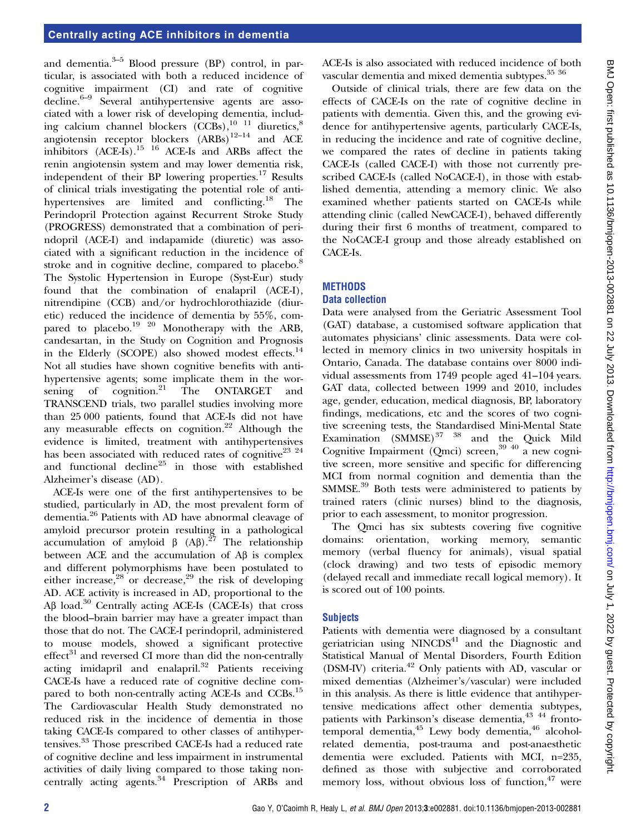and dementia. $3-5$  Blood pressure (BP) control, in particular, is associated with both a reduced incidence of cognitive impairment (CI) and rate of cognitive decline.6–<sup>9</sup> Several antihypertensive agents are associated with a lower risk of developing dementia, including calcium channel blockers  $(\text{CCBs})$ ,<sup>10 11</sup> diuretics,<sup>8</sup> angiotensin receptor blockers  $(ARBs)^{12-14}$  and ACE inhibitors  $(ACE-Is).^{15}$  <sup>16</sup> ACE-Is and ARBs affect the renin angiotensin system and may lower dementia risk, independent of their BP lowering properties.<sup>17</sup> Results of clinical trials investigating the potential role of antihypertensives are limited and conflicting.<sup>18</sup> The Perindopril Protection against Recurrent Stroke Study (PROGRESS) demonstrated that a combination of perindopril (ACE-I) and indapamide (diuretic) was associated with a significant reduction in the incidence of stroke and in cognitive decline, compared to placebo.<sup>8</sup> The Systolic Hypertension in Europe (Syst-Eur) study found that the combination of enalapril (ACE-I), nitrendipine (CCB) and/or hydrochlorothiazide (diuretic) reduced the incidence of dementia by 55%, compared to placebo.<sup>19 20</sup> Monotherapy with the ARB, candesartan, in the Study on Cognition and Prognosis in the Elderly (SCOPE) also showed modest effects.<sup>14</sup> Not all studies have shown cognitive benefits with antihypertensive agents; some implicate them in the worsening of cognition.<sup>21</sup> The ONTARGET and TRANSCEND trials, two parallel studies involving more than 25 000 patients, found that ACE-Is did not have any measurable effects on cognition.<sup>22</sup> Although the evidence is limited, treatment with antihypertensives has been associated with reduced rates of cognitive<sup>23</sup> <sup>24</sup> and functional decline<sup>25</sup> in those with established Alzheimer's disease (AD).

ACE-Is were one of the first antihypertensives to be studied, particularly in AD, the most prevalent form of dementia.<sup>26</sup> Patients with AD have abnormal cleavage of amyloid precursor protein resulting in a pathological accumulation of amyloid β  $(AB)$ .<sup>27</sup> The relationship between ACE and the accumulation of Aβ is complex and different polymorphisms have been postulated to either increase, $28$  or decrease, $29$  the risk of developing AD. ACE activity is increased in AD, proportional to the Aβ load.<sup>30</sup> Centrally acting ACE-Is (CACE-Is) that cross the blood–brain barrier may have a greater impact than those that do not. The CACE-I perindopril, administered to mouse models, showed a significant protective  $effect<sup>31</sup>$  and reversed CI more than did the non-centrally acting imidapril and enalapril.<sup>32</sup> Patients receiving CACE-Is have a reduced rate of cognitive decline compared to both non-centrally acting ACE-Is and CCBs.<sup>15</sup> The Cardiovascular Health Study demonstrated no reduced risk in the incidence of dementia in those taking CACE-Is compared to other classes of antihypertensives.<sup>33</sup> Those prescribed CACE-Is had a reduced rate of cognitive decline and less impairment in instrumental activities of daily living compared to those taking noncentrally acting agents.<sup>34</sup> Prescription of ARBs and

ACE-Is is also associated with reduced incidence of both vascular dementia and mixed dementia subtypes.<sup>35</sup> 36

Outside of clinical trials, there are few data on the effects of CACE-Is on the rate of cognitive decline in patients with dementia. Given this, and the growing evidence for antihypertensive agents, particularly CACE-Is, in reducing the incidence and rate of cognitive decline, we compared the rates of decline in patients taking CACE-Is (called CACE-I) with those not currently prescribed CACE-Is (called NoCACE-I), in those with established dementia, attending a memory clinic. We also examined whether patients started on CACE-Is while attending clinic (called NewCACE-I), behaved differently during their first 6 months of treatment, compared to the NoCACE-I group and those already established on CACE-Is.

# **METHODS**

# Data collection

Data were analysed from the Geriatric Assessment Tool (GAT) database, a customised software application that automates physicians' clinic assessments. Data were collected in memory clinics in two university hospitals in Ontario, Canada. The database contains over 8000 individual assessments from 1749 people aged 41–104 years. GAT data, collected between 1999 and 2010, includes age, gender, education, medical diagnosis, BP, laboratory findings, medications, etc and the scores of two cognitive screening tests, the Standardised Mini-Mental State Examination  $(SMMSE)^{37}$  <sup>38</sup> and the Quick Mild Cognitive Impairment (Qmci) screen, $39$ <sup>40</sup> a new cognitive screen, more sensitive and specific for differencing MCI from normal cognition and dementia than the SMMSE.<sup>39</sup> Both tests were administered to patients by trained raters (clinic nurses) blind to the diagnosis, prior to each assessment, to monitor progression.

The Qmci has six subtests covering five cognitive domains: orientation, working memory, semantic memory (verbal fluency for animals), visual spatial (clock drawing) and two tests of episodic memory (delayed recall and immediate recall logical memory). It is scored out of 100 points.

# **Subjects**

Patients with dementia were diagnosed by a consultant geriatrician using  $NINCDS<sup>41</sup>$  and the Diagnostic and Statistical Manual of Mental Disorders, Fourth Edition (DSM-IV) criteria.<sup>42</sup> Only patients with AD, vascular or mixed dementias (Alzheimer's/vascular) were included in this analysis. As there is little evidence that antihypertensive medications affect other dementia subtypes, patients with Parkinson's disease dementia,43 44 frontotemporal dementia,<sup>45</sup> Lewy body dementia,<sup>46</sup> alcoholrelated dementia, post-trauma and post-anaesthetic dementia were excluded. Patients with MCI, n=235, defined as those with subjective and corroborated memory loss, without obvious loss of function,  $47$  were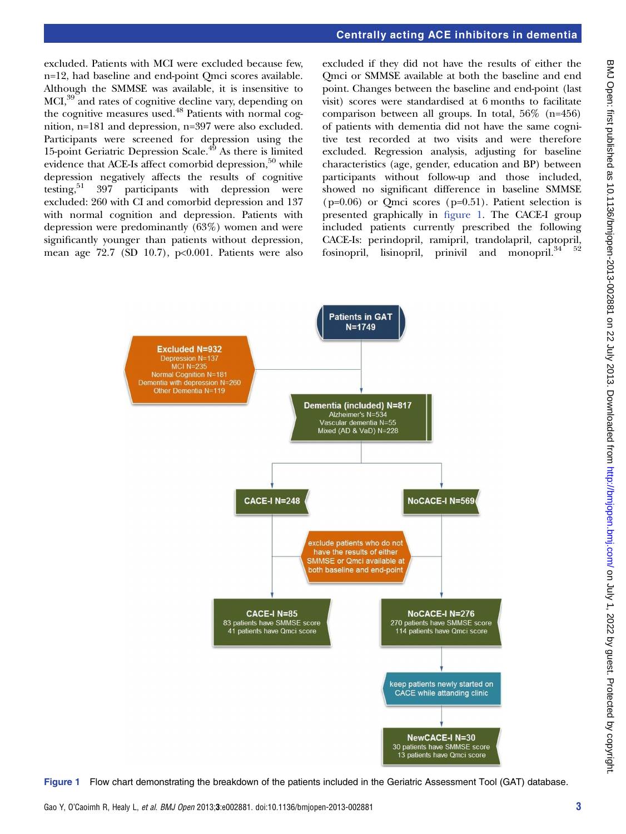# Centrally acting ACE inhibitors in dementia

excluded. Patients with MCI were excluded because few, n=12, had baseline and end-point Qmci scores available. Although the SMMSE was available, it is insensitive to MCI,39 and rates of cognitive decline vary, depending on the cognitive measures used.<sup>48</sup> Patients with normal cognition, n=181 and depression, n=397 were also excluded. Participants were screened for depression using the 15-point Geriatric Depression Scale.<sup>49</sup> As there is limited evidence that ACE-Is affect comorbid depression, $50$  while depression negatively affects the results of cognitive testing,<sup>51</sup> 397 participants with depression were excluded: 260 with CI and comorbid depression and 137 with normal cognition and depression. Patients with depression were predominantly (63%) women and were significantly younger than patients without depression, mean age  $72.7$  (SD 10.7), p<0.001. Patients were also

excluded if they did not have the results of either the Qmci or SMMSE available at both the baseline and end point. Changes between the baseline and end-point (last visit) scores were standardised at 6 months to facilitate comparison between all groups. In total, 56% (n=456) of patients with dementia did not have the same cognitive test recorded at two visits and were therefore excluded. Regression analysis, adjusting for baseline characteristics (age, gender, education and BP) between participants without follow-up and those included, showed no significant difference in baseline SMMSE  $(p=0.06)$  or Qmci scores  $(p=0.51)$ . Patient selection is presented graphically in figure 1. The CACE-I group included patients currently prescribed the following CACE-Is: perindopril, ramipril, trandolapril, captopril, fosinopril, lisinopril, prinivil and monopril.<sup>34 52</sup>



Figure 1 Flow chart demonstrating the breakdown of the patients included in the Geriatric Assessment Tool (GAT) database.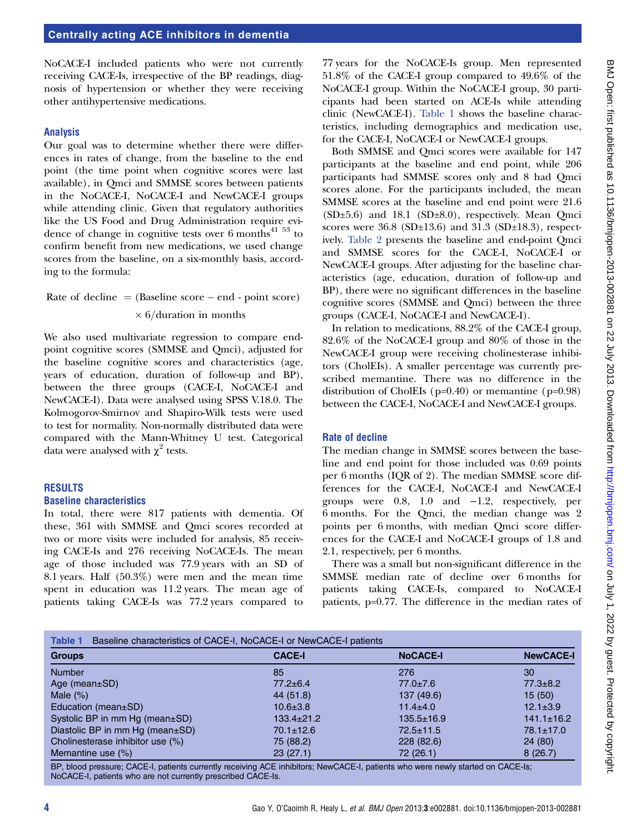NoCACE-I included patients who were not currently receiving CACE-Is, irrespective of the BP readings, diagnosis of hypertension or whether they were receiving other antihypertensive medications.

### Analysis

Our goal was to determine whether there were differences in rates of change, from the baseline to the end point (the time point when cognitive scores were last available), in Qmci and SMMSE scores between patients in the NoCACE-I, NoCACE-I and NewCACE-I groups while attending clinic. Given that regulatory authorities like the US Food and Drug Administration require evidence of change in cognitive tests over  $6$  months<sup>41 53</sup> to confirm benefit from new medications, we used change scores from the baseline, on a six-monthly basis, according to the formula:

 $Rate of decline = (Baseline score - end - point score)$  $\times$  6/duration in months

We also used multivariate regression to compare endpoint cognitive scores (SMMSE and Qmci), adjusted for the baseline cognitive scores and characteristics (age, years of education, duration of follow-up and BP), between the three groups (CACE-I, NoCACE-I and NewCACE-I). Data were analysed using SPSS V.18.0. The Kolmogorov-Smirnov and Shapiro-Wilk tests were used to test for normality. Non-normally distributed data were compared with the Mann-Whitney U test. Categorical data were analysed with  $\chi^2$  tests.

### **RESULTS**

### Baseline characteristics

In total, there were 817 patients with dementia. Of these, 361 with SMMSE and Qmci scores recorded at two or more visits were included for analysis, 85 receiving CACE-Is and 276 receiving NoCACE-Is. The mean age of those included was 77.9 years with an SD of 8.1 years. Half (50.3%) were men and the mean time spent in education was 11.2 years. The mean age of patients taking CACE-Is was 77.2 years compared to

77 years for the NoCACE-Is group. Men represented 51.8% of the CACE-I group compared to 49.6% of the NoCACE-I group. Within the NoCACE-I group, 30 participants had been started on ACE-Is while attending clinic (NewCACE-I). Table 1 shows the baseline characteristics, including demographics and medication use, for the CACE-I, NoCACE-I or NewCACE-I groups.

Both SMMSE and Qmci scores were available for 147 participants at the baseline and end point, while 206 participants had SMMSE scores only and 8 had Qmci scores alone. For the participants included, the mean SMMSE scores at the baseline and end point were 21.6 (SD±5.6) and 18.1 (SD±8.0), respectively. Mean Qmci scores were  $36.8$  (SD $\pm$ 13.6) and  $31.3$  (SD $\pm$ 18.3), respectively. Table 2 presents the baseline and end-point Qmci and SMMSE scores for the CACE-I, NoCACE-I or NewCACE-I groups. After adjusting for the baseline characteristics (age, education, duration of follow-up and BP), there were no significant differences in the baseline cognitive scores (SMMSE and Qmci) between the three groups (CACE-I, NoCACE-I and NewCACE-I).

In relation to medications, 88.2% of the CACE-I group, 82.6% of the NoCACE-I group and 80% of those in the NewCACE-I group were receiving cholinesterase inhibitors (CholEIs). A smaller percentage was currently prescribed memantine. There was no difference in the distribution of CholEIs ( $p=0.40$ ) or memantine ( $p=0.98$ ) between the CACE-I, NoCACE-I and NewCACE-I groups.

### Rate of decline

The median change in SMMSE scores between the baseline and end point for those included was 0.69 points per 6 months (IQR of 2). The median SMMSE score differences for the CACE-I, NoCACE-I and NewCACE-I groups were 0.8, 1.0 and −1.2, respectively, per 6 months. For the Qmci, the median change was 2 points per 6 months, with median Qmci score differences for the CACE-I and NoCACE-I groups of 1.8 and 2.1, respectively, per 6 months.

There was a small but non-significant difference in the SMMSE median rate of decline over 6 months for patients taking CACE-Is, compared to NoCACE-I patients, p=0.77. The difference in the median rates of

| <b>Groups</b>                         | <b>CACE-I</b>    | <b>NoCACE-I</b>  | <b>NewCACE-I</b> |
|---------------------------------------|------------------|------------------|------------------|
| <b>Number</b>                         | 85               | 276              | 30               |
|                                       |                  |                  |                  |
| Age (mean $\pm$ SD)                   | $77.2 \pm 6.4$   | $77.0 \pm 7.6$   | $77.3 \pm 8.2$   |
| Male $(\%)$                           | 44 (51.8)        | 137 (49.6)       | 15(50)           |
| Education (mean±SD)                   | $10.6 \pm 3.8$   | $11.4 \pm 4.0$   | $12.1 \pm 3.9$   |
| Systolic BP in mm Hg (mean±SD)        | $133.4 \pm 21.2$ | $135.5 \pm 16.9$ | $141.1 \pm 16.2$ |
| Diastolic BP in mm Hg (mean $\pm$ SD) | $70.1 \pm 12.6$  | $72.5 \pm 11.5$  | $78.1 \pm 17.0$  |
| Cholinesterase inhibitor use (%)      | 75 (88.2)        | 228(82.6)        | 24(80)           |
| Memantine use (%)                     | 23(27.1)         | 72 (26.1)        | 8(26.7)          |

BP, blood pressure; CACE-I, patients currently receiving ACE inhibitors; NewCACE-I, patients who were newly started on CACE-Is; NoCACE-I, patients who are not currently prescribed CACE-Is.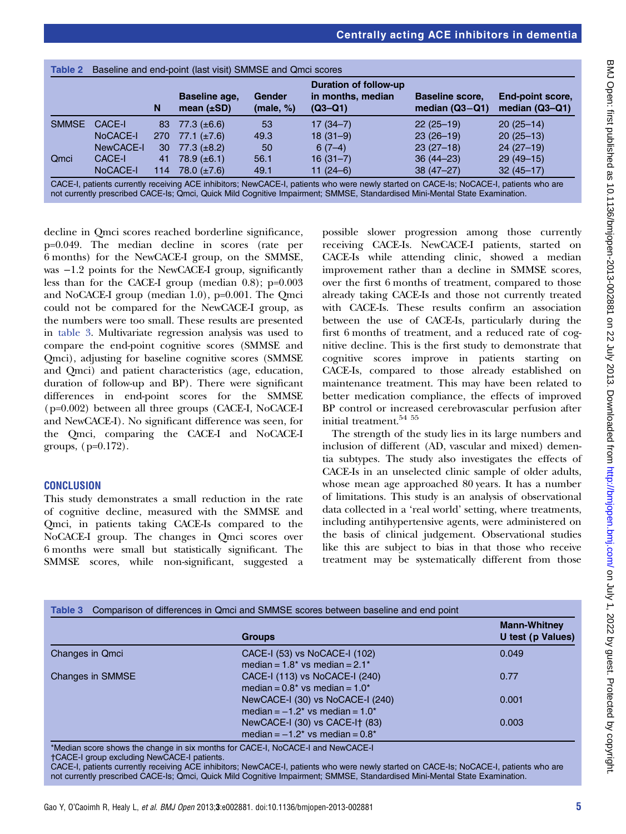|              |           | Duration of follow-up |                                  |                            |                                |                                            |                                      |
|--------------|-----------|-----------------------|----------------------------------|----------------------------|--------------------------------|--------------------------------------------|--------------------------------------|
|              |           | N                     | Baseline age,<br>mean $(\pm SD)$ | <b>Gender</b><br>(male, %) | in months, median<br>$(Q3-Q1)$ | <b>Baseline score,</b><br>median $(Q3-Q1)$ | End-point score,<br>median $(Q3-Q1)$ |
| <b>SMMSE</b> | CACE-I    | 83                    | 77.3 $(\pm 6.6)$                 | 53                         | $17(34-7)$                     | $22(25-19)$                                | $20(25-14)$                          |
|              | NoCACE-I  | <b>270</b>            | 77.1 $(\pm 7.6)$                 | 49.3                       | $18(31-9)$                     | $23(26-19)$                                | $20(25-13)$                          |
|              | NewCACE-I | 30                    | 77.3 $(\pm 8.2)$                 | 50                         | $6(7-4)$                       | $23(27-18)$                                | $24(27-19)$                          |
| Qmci         | CACE-I    | 41                    | 78.9 $(\pm 6.1)$                 | 56.1                       | $16(31-7)$                     | $36(44 - 23)$                              | $29(49-15)$                          |
|              | NoCACE-I  | 114                   | 78.0 $(\pm 7.6)$                 | 49.1                       | $11(24-6)$                     | $38(47 - 27)$                              | $32(45 - 17)$                        |

decline in Qmci scores reached borderline significance, p=0.049. The median decline in scores (rate per 6 months) for the NewCACE-I group, on the SMMSE, was −1.2 points for the NewCACE-I group, significantly less than for the CACE-I group (median 0.8); p=0.003 and NoCACE-I group (median 1.0), p=0.001. The Qmci could not be compared for the NewCACE-I group, as the numbers were too small. These results are presented in table 3. Multivariate regression analysis was used to compare the end-point cognitive scores (SMMSE and Qmci), adjusting for baseline cognitive scores (SMMSE and Qmci) and patient characteristics (age, education, duration of follow-up and BP). There were significant differences in end-point scores for the SMMSE (p=0.002) between all three groups (CACE-I, NoCACE-I and NewCACE-I). No significant difference was seen, for the Qmci, comparing the CACE-I and NoCACE-I groups, (p=0.172).

### **CONCLUSION**

This study demonstrates a small reduction in the rate of cognitive decline, measured with the SMMSE and Qmci, in patients taking CACE-Is compared to the NoCACE-I group. The changes in Qmci scores over 6 months were small but statistically significant. The SMMSE scores, while non-significant, suggested a

possible slower progression among those currently receiving CACE-Is. NewCACE-I patients, started on CACE-Is while attending clinic, showed a median improvement rather than a decline in SMMSE scores, over the first 6 months of treatment, compared to those already taking CACE-Is and those not currently treated with CACE-Is. These results confirm an association between the use of CACE-Is, particularly during the first 6 months of treatment, and a reduced rate of cognitive decline. This is the first study to demonstrate that cognitive scores improve in patients starting on CACE-Is, compared to those already established on maintenance treatment. This may have been related to better medication compliance, the effects of improved BP control or increased cerebrovascular perfusion after initial treatment.<sup>54</sup> <sup>55</sup>

The strength of the study lies in its large numbers and inclusion of different (AD, vascular and mixed) dementia subtypes. The study also investigates the effects of CACE-Is in an unselected clinic sample of older adults, whose mean age approached 80 years. It has a number of limitations. This study is an analysis of observational data collected in a 'real world' setting, where treatments, including antihypertensive agents, were administered on the basis of clinical judgement. Observational studies like this are subject to bias in that those who receive treatment may be systematically different from those

|                  | <b>Groups</b>                                                                                   | <b>Mann-Whitney</b><br>U test (p Values) |
|------------------|-------------------------------------------------------------------------------------------------|------------------------------------------|
| Changes in Qmci  | CACE-I (53) vs NoCACE-I (102)<br>median = $1.8^*$ vs median = $2.1^*$                           | 0.049                                    |
| Changes in SMMSE | CACE-I (113) vs NoCACE-I (240)<br>median = $0.8^*$ vs median = $1.0^*$                          | 0.77                                     |
|                  | NewCACE-I (30) vs NoCACE-I (240)<br>median = $-1.2$ <sup>*</sup> vs median = $1.0$ <sup>*</sup> | 0.001                                    |
|                  | NewCACE-I (30) vs CACE-I† (83)<br>median = $-1.2$ <sup>*</sup> vs median = $0.8$ <sup>*</sup>   | 0.003                                    |

CACE-I, patients currently receiving ACE inhibitors; NewCACE-I, patients who were newly started on CACE-Is; NoCACE-I, patients who are not currently prescribed CACE-Is; Qmci, Quick Mild Cognitive Impairment; SMMSE, Standardised Mini-Mental State Examination.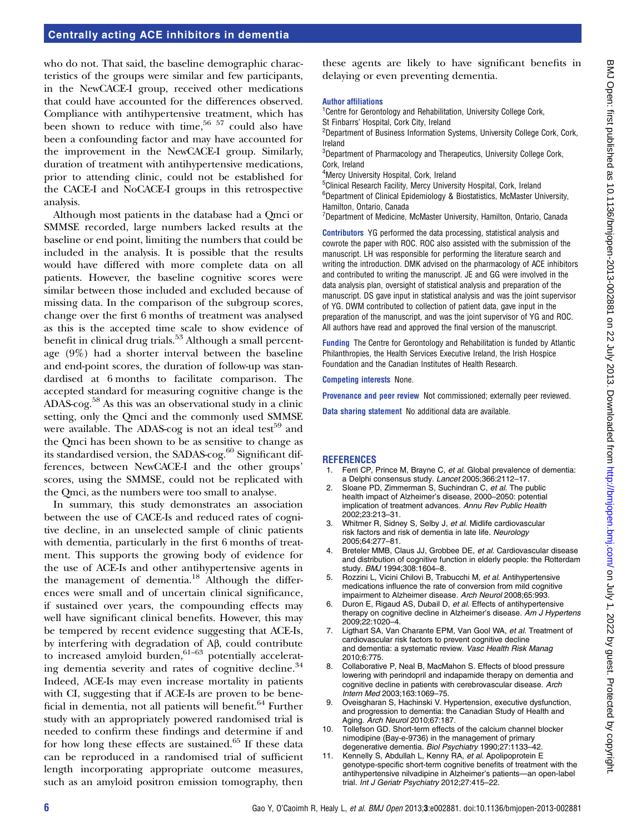# BMJ Open: first published as 10.1136/bmjopen-2013-002881 on 22 July 2013. Downloaded from http://bmjopen.bmj.com/ on July 1, 2022 by guest. Protected by copyright BMJ Open: first published as 10.1136/bmjopen-2013-002881 on 22 July 2013. Downloaded from <http://bmjopen.bmj.com/> on July 1, 2022 by guest. Protected by copyright.

# Centrally acting ACE inhibitors in dementia

who do not. That said, the baseline demographic characteristics of the groups were similar and few participants, in the NewCACE-I group, received other medications that could have accounted for the differences observed. Compliance with antihypertensive treatment, which has been shown to reduce with time,<sup>56 57</sup> could also have been a confounding factor and may have accounted for the improvement in the NewCACE-I group. Similarly, duration of treatment with antihypertensive medications, prior to attending clinic, could not be established for the CACE-I and NoCACE-I groups in this retrospective analysis.

Although most patients in the database had a Qmci or SMMSE recorded, large numbers lacked results at the baseline or end point, limiting the numbers that could be included in the analysis. It is possible that the results would have differed with more complete data on all patients. However, the baseline cognitive scores were similar between those included and excluded because of missing data. In the comparison of the subgroup scores, change over the first 6 months of treatment was analysed as this is the accepted time scale to show evidence of benefit in clinical drug trials.<sup>53</sup> Although a small percentage (9%) had a shorter interval between the baseline and end-point scores, the duration of follow-up was standardised at 6 months to facilitate comparison. The accepted standard for measuring cognitive change is the ADAS-cog.<sup>58</sup> As this was an observational study in a clinic setting, only the Qmci and the commonly used SMMSE were available. The ADAS-cog is not an ideal test<sup>59</sup> and the Qmci has been shown to be as sensitive to change as its standardised version, the SADAS-cog. $60$  Significant differences, between NewCACE-I and the other groups' scores, using the SMMSE, could not be replicated with the Qmci, as the numbers were too small to analyse.

In summary, this study demonstrates an association between the use of CACE-Is and reduced rates of cognitive decline, in an unselected sample of clinic patients with dementia, particularly in the first 6 months of treatment. This supports the growing body of evidence for the use of ACE-Is and other antihypertensive agents in the management of dementia.18 Although the differences were small and of uncertain clinical significance, if sustained over years, the compounding effects may well have significant clinical benefits. However, this may be tempered by recent evidence suggesting that ACE-Is, by interfering with degradation of Aβ, could contribute to increased amyloid burden, $61-63$  potentially accelerating dementia severity and rates of cognitive decline.<sup>34</sup> Indeed, ACE-Is may even increase mortality in patients with CI, suggesting that if ACE-Is are proven to be beneficial in dementia, not all patients will benefit.<sup>64</sup> Further study with an appropriately powered randomised trial is needed to confirm these findings and determine if and for how long these effects are sustained. $65$  If these data can be reproduced in a randomised trial of sufficient length incorporating appropriate outcome measures, such as an amyloid positron emission tomography, then

these agents are likely to have significant benefits in delaying or even preventing dementia.

### Author affiliations

<sup>1</sup> Centre for Gerontology and Rehabilitation, University College Cork, St Finbarrs' Hospital, Cork City, Ireland

<sup>2</sup>Department of Business Information Systems, University College Cork, Cork, Ireland

<sup>3</sup>Department of Pharmacology and Therapeutics, University College Cork, Cork, Ireland

4 Mercy University Hospital, Cork, Ireland

<sup>5</sup>Clinical Research Facility, Mercy University Hospital, Cork, Ireland <sup>6</sup>Department of Clinical Epidemiology & Biostatistics, McMaster University, Hamilton, Ontario, Canada

<sup>7</sup>Department of Medicine, McMaster University, Hamilton, Ontario, Canada

Contributors YG performed the data processing, statistical analysis and cowrote the paper with ROC. ROC also assisted with the submission of the manuscript. LH was responsible for performing the literature search and writing the introduction. DMK advised on the pharmacology of ACE inhibitors and contributed to writing the manuscript. JE and GG were involved in the data analysis plan, oversight of statistical analysis and preparation of the manuscript. DS gave input in statistical analysis and was the joint supervisor of YG. DWM contributed to collection of patient data, gave input in the preparation of the manuscript, and was the joint supervisor of YG and ROC. All authors have read and approved the final version of the manuscript.

Funding The Centre for Gerontology and Rehabilitation is funded by Atlantic Philanthropies, the Health Services Executive Ireland, the Irish Hospice Foundation and the Canadian Institutes of Health Research.

Competing interests None.

Provenance and peer review Not commissioned; externally peer reviewed.

Data sharing statement No additional data are available.

### **REFERENCES**

- 1. Ferri CP, Prince M, Brayne C, et al. Global prevalence of dementia: a Delphi consensus study. Lancet 2005;366:2112–17.
- Sloane PD, Zimmerman S, Suchindran C, et al. The public health impact of Alzheimer's disease, 2000–2050: potential implication of treatment advances. Annu Rev Public Health 2002;23:213–31.
- 3. Whitmer R, Sidney S, Selby J, et al. Midlife cardiovascular risk factors and risk of dementia in late life. Neurology 2005;64:277–81.
- 4. Breteler MMB, Claus JJ, Grobbee DE, et al. Cardiovascular disease and distribution of cognitive function in elderly people: the Rotterdam study. BMJ 1994;308:1604–8.
- 5. Rozzini L, Vicini Chilovi B, Trabucchi M, et al. Antihypertensive medications influence the rate of conversion from mild cognitive impairment to Alzheimer disease. Arch Neurol 2008;65:993.
- Duron E, Rigaud AS, Dubail D, et al. Effects of antihypertensive therapy on cognitive decline in Alzheimer's disease. Am J Hypertens 2009;22:1020–4.
- 7. Ligthart SA, Van Charante EPM, Van Gool WA, et al. Treatment of cardiovascular risk factors to prevent cognitive decline and dementia: a systematic review. Vasc Health Risk Manag 2010;6:775.
- 8. Collaborative P, Neal B, MacMahon S. Effects of blood pressure lowering with perindopril and indapamide therapy on dementia and cognitive decline in patients with cerebrovascular disease. Arch Intern Med 2003;163:1069–75.
- 9. Oveisgharan S, Hachinski V. Hypertension, executive dysfunction, and progression to dementia: the Canadian Study of Health and Aging. Arch Neurol 2010;67:187.
- 10. Tollefson GD. Short-term effects of the calcium channel blocker nimodipine (Bay-e-9736) in the management of primary degenerative dementia. Biol Psychiatry 1990;27:1133–42.
- 11. Kennelly S, Abdullah L, Kenny RA, et al. Apolipoprotein E genotype-specific short-term cognitive benefits of treatment with the antihypertensive nilvadipine in Alzheimer's patients—an open-label trial. Int J Geriatr Psychiatry 2012;27:415–22.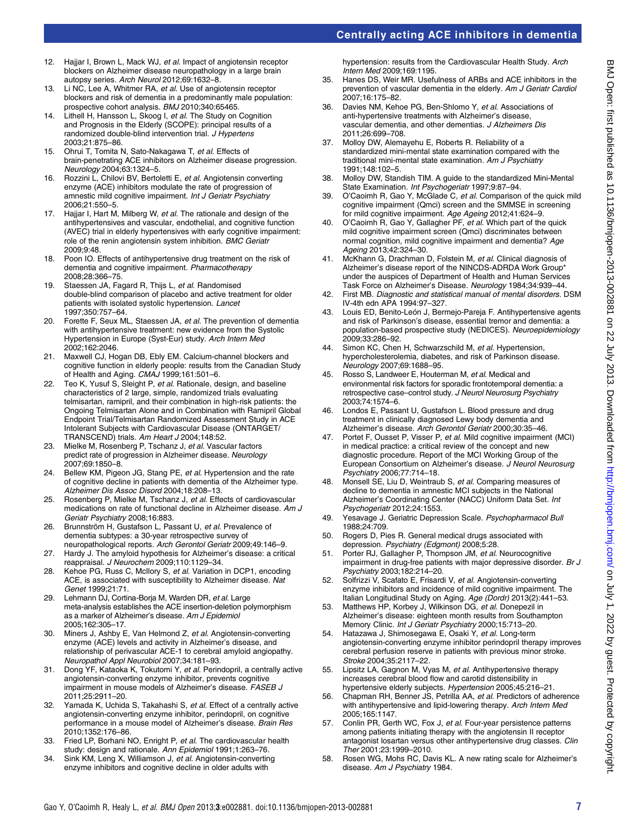# Centrally acting ACE inhibitors in dementia

- 12. Hajjar I, Brown L, Mack WJ, et al. Impact of angiotensin receptor blockers on Alzheimer disease neuropathology in a large brain autopsy series. Arch Neurol 2012;69:1632–8.
- 13. Li NC, Lee A, Whitmer RA, et al. Use of angiotensin receptor blockers and risk of dementia in a predominantly male population: prospective cohort analysis. BMJ 2010;340:65465.
- 14. Lithell H, Hansson L, Skoog I, et al. The Study on Cognition and Prognosis in the Elderly (SCOPE): principal results of a randomized double-blind intervention trial. J Hypertens 2003;21:875–86.
- 15. Ohrui T, Tomita N, Sato-Nakagawa T, et al. Effects of brain-penetrating ACE inhibitors on Alzheimer disease progression. Neurology 2004;63:1324–5.
- 16. Rozzini L, Chilovi BV, Bertoletti E, et al. Angiotensin converting enzyme (ACE) inhibitors modulate the rate of progression of amnestic mild cognitive impairment. Int J Geriatr Psychiatry 2006;21:550–5.
- 17. Hajjar I, Hart M, Milberg W, et al. The rationale and design of the antihypertensives and vascular, endothelial, and cognitive function (AVEC) trial in elderly hypertensives with early cognitive impairment: role of the renin angiotensin system inhibition. BMC Geriatr 2009;9:48.
- 18. Poon IO. Effects of antihypertensive drug treatment on the risk of dementia and cognitive impairment. Pharmacotherapy 2008;28:366–75.
- 19. Staessen JA, Fagard R, Thijs L, et al. Randomised double-blind comparison of placebo and active treatment for older patients with isolated systolic hypertension. Lancet 1997;350:757–64.
- 20. Forette F, Seux ML, Staessen JA, et al. The prevention of dementia with antihypertensive treatment: new evidence from the Systolic Hypertension in Europe (Syst-Eur) study. Arch Intern Med 2002;162:2046.
- 21. Maxwell CJ, Hogan DB, Ebly EM. Calcium-channel blockers and cognitive function in elderly people: results from the Canadian Study of Health and Aging. CMAJ 1999;161:501–6.
- 22. Teo K, Yusuf S, Sleight P, et al. Rationale, design, and baseline characteristics of 2 large, simple, randomized trials evaluating telmisartan, ramipril, and their combination in high-risk patients: the Ongoing Telmisartan Alone and in Combination with Ramipril Global Endpoint Trial/Telmisartan Randomized Assessment Study in ACE Intolerant Subjects with Cardiovascular Disease (ONTARGET/ TRANSCEND) trials. Am Heart J 2004;148:52.
- 23. Mielke M, Rosenberg P, Tschanz J, et al. Vascular factors predict rate of progression in Alzheimer disease. Neurology 2007;69:1850–8.
- 24. Bellew KM, Pigeon JG, Stang PE, et al. Hypertension and the rate of cognitive decline in patients with dementia of the Alzheimer type. Alzheimer Dis Assoc Disord 2004;18:208–13.
- 25. Rosenberg P, Mielke M, Tschanz J, et al. Effects of cardiovascular medications on rate of functional decline in Alzheimer disease. Am J Geriatr Psychiatry 2008;16:883.
- 26. Brunnström H, Gustafson L, Passant U, et al. Prevalence of dementia subtypes: a 30-year retrospective survey of neuropathological reports. Arch Gerontol Geriatr 2009;49:146–9.
- 27. Hardy J. The amyloid hypothesis for Alzheimer's disease: a critical reappraisal. J Neurochem 2009;110:1129–34.
- 28. Kehoe PG, Russ C, McIlory S, et al. Variation in DCP1, encoding ACE, is associated with susceptibility to Alzheimer disease. Nat Genet 1999;21:71.
- 29. Lehmann DJ, Cortina-Borja M, Warden DR, et al. Large meta-analysis establishes the ACE insertion-deletion polymorphism as a marker of Alzheimer's disease. Am J Epidemiol 2005;162:305–17.
- 30. Miners J, Ashby E, Van Helmond Z, et al. Angiotensin-converting enzyme (ACE) levels and activity in Alzheimer's disease, and relationship of perivascular ACE-1 to cerebral amyloid angiopathy. Neuropathol Appl Neurobiol 2007;34:181–93.
- 31. Dong YF, Kataoka K, Tokutomi Y, et al. Perindopril, a centrally active angiotensin-converting enzyme inhibitor, prevents cognitive impairment in mouse models of Alzheimer's disease. FASEB J 2011;25:2911–20.
- 32. Yamada K, Uchida S, Takahashi S, et al. Effect of a centrally active angiotensin-converting enzyme inhibitor, perindopril, on cognitive performance in a mouse model of Alzheimer's disease. Brain Res 2010;1352:176–86.
- 33. Fried LP, Borhani NO, Enright P, et al. The cardiovascular health study: design and rationale. Ann Epidemiol 1991;1:263-76.
- 34. Sink KM, Leng X, Williamson J, et al. Angiotensin-converting enzyme inhibitors and cognitive decline in older adults with

hypertension: results from the Cardiovascular Health Study. Arch Intern Med 2009;169:1195.

- 35. Hanes DS, Weir MR. Usefulness of ARBs and ACE inhibitors in the prevention of vascular dementia in the elderly. Am J Geriatr Cardiol 2007;16:175–82.
- 36. Davies NM, Kehoe PG, Ben-Shlomo Y, et al. Associations of anti-hypertensive treatments with Alzheimer's disease, vascular dementia, and other dementias. J Alzheimers Dis 2011;26:699–708.
- 37. Molloy DW, Alemayehu E, Roberts R. Reliability of a standardized mini-mental state examination compared with the traditional mini-mental state examination. Am J Psychiatry 1991;148:102–5.
- 38. Molloy DW, Standish TIM. A guide to the standardized Mini-Mental State Examination. Int Psychogeriatr 1997;9:87–94.
- 39. O'Caoimh R, Gao Y, McGlade C, et al. Comparison of the quick mild cognitive impairment (Qmci) screen and the SMMSE in screening for mild cognitive impairment. Age Ageing 2012;41:624–9.
- 40. O'Caoimh R, Gao Y, Gallagher PF, et al. Which part of the quick mild cognitive impairment screen (Qmci) discriminates between normal cognition, mild cognitive impairment and dementia? Age Ageing 2013;42:324–30.
- 41. McKhann G, Drachman D, Folstein M, et al. Clinical diagnosis of Alzheimer's disease report of the NINCDS-ADRDA Work Group<sup>\*</sup> under the auspices of Department of Health and Human Services Task Force on Alzheimer's Disease. Neurology 1984;34:939–44.
- 42. First MB. Diagnostic and statistical manual of mental disorders. DSM IV-4th edn APA 1994:97–327.
- 43. Louis ED, Benito-León J, Bermejo-Pareja F. Antihypertensive agents and risk of Parkinson's disease, essential tremor and dementia: a population-based prospective study (NEDICES). Neuroepidemiology 2009;33:286–92.
- 44. Simon KC, Chen H, Schwarzschild M, et al. Hypertension, hypercholesterolemia, diabetes, and risk of Parkinson disease. Neurology 2007;69:1688–95.
- 45. Rosso S, Landweer E, Houterman M, et al. Medical and environmental risk factors for sporadic frontotemporal dementia: a retrospective case–control study. J Neurol Neurosurg Psychiatry 2003;74:1574–6.
- 46. Londos E, Passant U, Gustafson L. Blood pressure and drug treatment in clinically diagnosed Lewy body dementia and Alzheimer's disease. Arch Gerontol Geriatr 2000;30:35–46.
- 47. Portet F, Ousset P, Visser P, et al. Mild cognitive impairment (MCI) in medical practice: a critical review of the concept and new diagnostic procedure. Report of the MCI Working Group of the European Consortium on Alzheimer's disease. J Neurol Neurosurg Psychiatry 2006;77:714–18.
- 48. Monsell SE, Liu D, Weintraub S, et al. Comparing measures of decline to dementia in amnestic MCI subjects in the National Alzheimer's Coordinating Center (NACC) Uniform Data Set. Int Psychogeriatr 2012;24:1553.
- 49. Yesavage J. Geriatric Depression Scale. Psychopharmacol Bull 1988;24:709.
- 50. Rogers D, Pies R. General medical drugs associated with depression. Psychiatry (Edgmont) 2008;5:28.
- 51. Porter RJ, Gallagher P, Thompson JM, et al. Neurocognitive impairment in drug-free patients with major depressive disorder. Br J Psychiatry 2003;182:214–20.
- 52. Solfrizzi V, Scafato E, Frisardi V, et al. Angiotensin-converting enzyme inhibitors and incidence of mild cognitive impairment. The Italian Longitudinal Study on Aging. Age (Dordr) 2013(2):441-53.
- 53. Matthews HP, Korbey J, Wilkinson DG, et al. Donepezil in Alzheimer's disease: eighteen month results from Southampton Memory Clinic. Int J Geriatr Psychiatry 2000;15:713–20.
- 54. Hatazawa J, Shimosegawa E, Osaki Y, et al. Long-term angiotensin-converting enzyme inhibitor perindopril therapy improves cerebral perfusion reserve in patients with previous minor stroke. Stroke 2004;35:2117–22.
- 55. Lipsitz LA, Gagnon M, Vyas M, et al. Antihypertensive therapy increases cerebral blood flow and carotid distensibility in hypertensive elderly subjects. Hypertension 2005;45:216–21.
- 56. Chapman RH, Benner JS, Petrilla AA, et al. Predictors of adherence with antihypertensive and lipid-lowering therapy. Arch Intern Med 2005;165:1147.
- 57. Conlin PR, Gerth WC, Fox J, et al. Four-year persistence patterns among patients initiating therapy with the angiotensin II receptor antagonist losartan versus other antihypertensive drug classes. Clin Ther 2001;23:1999–2010.
- 58. Rosen WG, Mohs RC, Davis KL. A new rating scale for Alzheimer's disease. Am J Psychiatry 1984.